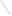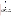# **THE ENVIRONMENTAL TECHNOLOGY VERIFICATION**





**Battelle** The Business of Innovation

# **ETV Joint Verification Statement**

|                     | TECHNOLOGY TYPE: IMMUNOASSAY TEST KITS                   |             |                     |  |
|---------------------|----------------------------------------------------------|-------------|---------------------|--|
| <b>APPLICATION:</b> | DETECTING ANTHRAX, BOTULINUM TOXIN, AND<br><b>RICIN</b>  |             |                     |  |
|                     | <b>TECHNOLOGY NAME: RAMP<sup>®</sup> Test Cartridges</b> |             |                     |  |
| <b>COMPANY:</b>     | <b>Response Biomedical Corp.</b>                         |             |                     |  |
| <b>ADDRESS:</b>     | 8081 Lougheed Highway                                    |             | PHONE: 604-681-4101 |  |
|                     | <b>Burnaby, British Columbia</b>                         | <b>FAX:</b> | 604-412-9830        |  |
|                     | CANADA V5A 1W9                                           |             |                     |  |
| <b>WEB SITE:</b>    | www.responsebio.com                                      |             |                     |  |
| E-MAIL:             | jstephenson@responsebio.com                              |             |                     |  |

The U.S. Environmental Protection Agency (EPA) supports the Environmental Technology Verification (ETV) Program to facilitate the deployment of innovative or improved environmental technologies through performance verification and dissemination of information. The goal of the ETV Program is to further environmental protection by accelerating the acceptance and use of improved and cost-effective technologies. ETV seeks to achieve this goal by providing high-quality, peer-reviewed data on technology performance to those involved in the design, distribution, financing, permitting, purchase, and use of environmental technologies. Information and ETV documents are available at www.epa.gov/etv.

ETV works in partnership with recognized standards and testing organizations, with stakeholder groups (consisting of buyers, vendor organizations, and permitters), and with individual technology developers. The program evaluates the performance of innovative technologies by developing test plans that are responsive to the needs of stakeholders, conducting field or laboratory tests (as appropriate), collecting and analyzing data, and preparing peer-reviewed reports. All evaluations are conducted in accordance with rigorous quality assurance (QA) protocols to ensure that data of known and adequate quality are generated and that the results are defensible.

The Advanced Monitoring Systems (AMS) Center, one of six verification centers under ETV, is operated by Battelle in cooperation with EPA's National Exposure Research Laboratory. The AMS Center has recently evaluated the performance of immunoassay test kits used to detect anthrax, botulinum toxin, and ricin. This verification statement provides a summary of the test results for the Response Biomedical Corp. Rapid Analyte Measurement Platform (RAMP®) test cartridges.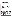#### **VERIFICATION TEST DESCRIPTION**

The ability of the RAMP<sup>®</sup> test cartridges to individually detect various concentrations of anthrax spores, botulinum toxin, and ricin was evaluated between January 14 and April 23, 2004, by analyzing performance test (PT) and drinking water (DW) samples. PT samples included deionized (DI) water fortified with either the target contaminant, an interferent, both, or only a cross-reactive species. In addition to the PT and DW samples analyzed, method blank (MB) samples consisting of DI water also were analyzed to confirm negative responses in the absence of contaminants and to ensure that no sources of contamination were introduced during the analysis procedures. MB samples were analyzed by both a trained technician and a non-technical/untrained, first-time user at a non-laboratory location to evaluate the RAMP® performance and ease of use outside of the laboratory. The test strips generated either positive or negative qualitative results. Verification test results showed how effective the RAMP® test cartridges were at detecting the presence of each contaminant at several concentration levels, the consistency of the responses, and the susceptibility of the RAMP® test cartridges to selected interferents and crossreactive species. In most cases, three replicates of each PT and DW sample were analyzed to evaluate the reproducibility of the RAMP<sup>®</sup> test cartridge results. Approximately 120 liters (L) of four DW samples were collected from geographically distributed municipal sources located in Florida (FL), New York (NY), Ohio (OH), and California (CA). These samples were dechlorinated with sodium thiosulfate, and then 100 L of each sample were concentrated using an ultra-filtration technique to a final volume of 250 milliliters (mL). Each DW sample (non-concentrated and concentrated) was analyzed without adding any contaminant, as well as after fortification with individual contaminants at a single concentration level to evaluate the effect of the DW matrix on the performance of the RAMP® test cartridges. During the anthrax spore PT sample analysis, the lowest detectable concentration of the RAMP® test cartridges was shown to be much higher than claimed by the vendor. Therefore, three preparations of spores were analyzed to further investigate these results. The three preparations included spores prepared at Battelle and preserved in a solution of water and phenol, spores prepared at Battelle and not preserved in phenol, and spores prepared at Dugway Proving Ground and stored in spent culture media. Most of the samples analyzed were made from the Battelle-prepared, phenol-preserved spores. The other two preparations were used to determine if the phenol preservation or the preparation technique was negatively affecting the sensitivity of the RAMP<sup>®</sup> test cartridges. Solutions of vegetative anthrax cells also were analyzed to determine the sensitivity of the RAMP® test cartridges to vegetative anthrax cells.

QA oversight of verification testing was provided by Battelle and EPA. Battelle QA staff conducted a technical systems audit and a data quality audit of 10% of the test data. This verification statement, the full report on which it is based, and the test/QA plan for this verification are all available at www.epa.gov/etv/centers/center1.html.

#### **TECHNOLOGY DESCRIPTION**

The following description of RAMP® test cartridges was provided by the vendor and was not subjected to verification in this test.

RAMP® is a rapid immunochromatographic system for screening environmental samples. The RAMP® system comprises a portable fluorescence reader and RAMP® test cartridges specific for detecting anthrax, botulinum toxin, and ricin. Test cartridges specific for detecting smallpox are also available, but were not tested. The RAMP® reader is a scanning fluorometer and data analysis system used to measure fluorescence from RAMP<sup>®</sup> test cartridges. The reader can be operated on built-in battery power or using an alternating current adapter. RAMP<sup>®</sup> uses an immunochromatographic strip, housed in the disposable test cartridges. Each test cartridge is single-use, disposable, and analyte-specific and is used to detect whether an analyte (e.g., anthrax spores) is present in an aqueous sample. Twenty-five individually packaged RAMP® test cartridges are provided in a small box. In addition to the test cartridges, the box contains 25 small plastic screw-top vials containing approximately 250 microliters ( $\mu$ L) of buffer, a box of sample collection swabs, a 70- $\mu$ L micropipette, a lot card for insertion into the reader, a marking pen, and step-by-step instructions. To perform a test on a liquid sample, a small amount  $(10 \,\mu L)$  of sample is added to the provided buffer, and that solution is mixed and 70  $\mu L$  of sample is pipetted onto the RAMP<sup>®</sup> test cartridge. The cartridge is then read using the reader, and a positive or negative result is generated on the reader's display. Each result, along with the time, date, and sample identification is printed using a printer provided by Response Biomedical Corp. The reader is also capable of downloading the results to a computer. The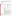dimensions of the RAMP<sup>®</sup> are 10.5 inches wide by 10 inches deep by 6 inches high (27 centimeters wide by 25 centimeters deep by 5 centimeters high), and it weighs 4.6 pounds (2.1 kilograms). A RAMP® system including 25 test cartridges, a reader, a printer, and a carrying case costs approximately \$10,000. Regardless of whether the test strips are specific to anthrax, botulinum toxin, ricin, or smallpox, each additional box of 25 test cartridges costs approximately \$500.

## **VERIFICATION OF PERFORMANCE**

The tables below summarize the performance of the RAMP<sup>®</sup> test cartridges in detecting anthrax, botulinum toxin, and ricin.

## **Anthrax Summary Table**

|                                                                                                                                                                                                                                                                                                                                                                                                                                                                                                                        | Parameter                                                                                                                                                                                                                                    | <b>Sample Information</b>                                                                                                                       | <b>Actual Fortified Anthrax</b><br>Concentration <sup>(a)</sup> | <b>Positive Results Out</b><br>of Total Replicates |
|------------------------------------------------------------------------------------------------------------------------------------------------------------------------------------------------------------------------------------------------------------------------------------------------------------------------------------------------------------------------------------------------------------------------------------------------------------------------------------------------------------------------|----------------------------------------------------------------------------------------------------------------------------------------------------------------------------------------------------------------------------------------------|-------------------------------------------------------------------------------------------------------------------------------------------------|-----------------------------------------------------------------|----------------------------------------------------|
|                                                                                                                                                                                                                                                                                                                                                                                                                                                                                                                        |                                                                                                                                                                                                                                              |                                                                                                                                                 | $8 \times 10^8$ spores/mL                                       | 3/3                                                |
|                                                                                                                                                                                                                                                                                                                                                                                                                                                                                                                        |                                                                                                                                                                                                                                              | Battelle-prepared, phenol-                                                                                                                      | $8 \times 10^7$ spores/mL                                       | 0/3                                                |
|                                                                                                                                                                                                                                                                                                                                                                                                                                                                                                                        |                                                                                                                                                                                                                                              | preserved spores                                                                                                                                | $8 \times 10^6$ spores/mL                                       | 0/3                                                |
|                                                                                                                                                                                                                                                                                                                                                                                                                                                                                                                        | Contaminant-<br>only PT<br>samples                                                                                                                                                                                                           |                                                                                                                                                 | $3\times10^5$ spores/mL                                         | 0/3                                                |
|                                                                                                                                                                                                                                                                                                                                                                                                                                                                                                                        |                                                                                                                                                                                                                                              | Vegetative cells                                                                                                                                | $3 \times 10^5$ colony-forming units<br>(cfu)/mL                | 2/3                                                |
|                                                                                                                                                                                                                                                                                                                                                                                                                                                                                                                        |                                                                                                                                                                                                                                              |                                                                                                                                                 | $3 \times 10^4$ cfu/mL                                          | 0/1                                                |
| Qualitative<br>contaminant<br>results                                                                                                                                                                                                                                                                                                                                                                                                                                                                                  |                                                                                                                                                                                                                                              |                                                                                                                                                 | $7 \times 10^8$ spores/mL                                       | 3/3                                                |
|                                                                                                                                                                                                                                                                                                                                                                                                                                                                                                                        |                                                                                                                                                                                                                                              | Dugway-prepared spores                                                                                                                          | $8\times10^7\,\text{spores/mL}$                                 | 0/1                                                |
|                                                                                                                                                                                                                                                                                                                                                                                                                                                                                                                        | Interferent<br>PT samples                                                                                                                                                                                                                    | 230 mg/L Calcium (Ca)<br>90 mg/L Magnesium (Mg)                                                                                                 | $1 \times 10^9$ spores/mL <sup>(b)</sup>                        | 3/3                                                |
|                                                                                                                                                                                                                                                                                                                                                                                                                                                                                                                        |                                                                                                                                                                                                                                              | 2.5 mg/L humic acid<br>2.5 mg/L fulvic acid                                                                                                     | $1 \times 10^9$ spores/mL <sup>(b)</sup>                        | 3/3                                                |
|                                                                                                                                                                                                                                                                                                                                                                                                                                                                                                                        | DW samples                                                                                                                                                                                                                                   | Concentrated CA                                                                                                                                 | $5\times10^8$ spores/mL <sup>(b)</sup>                          | 3/3                                                |
|                                                                                                                                                                                                                                                                                                                                                                                                                                                                                                                        |                                                                                                                                                                                                                                              | Concentrated NY                                                                                                                                 | $5 \times 10^8$ spores/mL <sup>(b)</sup>                        | 3/3                                                |
|                                                                                                                                                                                                                                                                                                                                                                                                                                                                                                                        |                                                                                                                                                                                                                                              | Unconcentrated DW                                                                                                                               | $4 \times 10^6$ spores/mL <sup>(b)</sup>                        | 0/24                                               |
|                                                                                                                                                                                                                                                                                                                                                                                                                                                                                                                        | Cross-reactivity                                                                                                                                                                                                                             | $5 \times 10^5$ spores/mL<br><b>Bacillus</b> thuringiensis                                                                                      | unspiked                                                        | 0/3                                                |
| No false positives resulted from the analysis of the interferent, DW, or cross-reactivity<br>samples. Bacillus thuringiensis was prepared at concentrations much lower than the<br>False positives<br>lowest detectable concentration of Bacillus anthracis. Therefore, negative results with<br>these samples do not necessarily indicate a lack of cross-reactivity.                                                                                                                                                 |                                                                                                                                                                                                                                              |                                                                                                                                                 |                                                                 |                                                    |
| No false negative results were generated from the analysis of the interferent and DW<br>samples spiked with detectable levels of anthrax spores; the RAMP® test cartridges<br>were not able to detect anthrax spores at the vendor-stated limit of detection (LOD), but<br>False negatives<br>they were able to detect much higher concentration levels. All of the unconcentrated<br>DW samples were spiked at concentrations less than detectable by the test strips and,<br>therefore, were, as expected, negative. |                                                                                                                                                                                                                                              |                                                                                                                                                 |                                                                 |                                                    |
| Consistency                                                                                                                                                                                                                                                                                                                                                                                                                                                                                                            |                                                                                                                                                                                                                                              | 96% of the results were obtained in replicate sets in which all the individual replicates<br>had the same result, whether positive or negative. |                                                                 |                                                    |
|                                                                                                                                                                                                                                                                                                                                                                                                                                                                                                                        | $8 \times 10^8$ spores/mL - Battelle prep ; $7 \times 10^8$ spores/mL - Dugway prep (vendor-stated<br>Lowest detectable concentration<br>LOD: $4 \times 10^5$ spores/mL); $3 \times 10^5$ cfu/mL - vegetative anthrax (no vendor-stated LOD) |                                                                                                                                                 |                                                                 |                                                    |
|                                                                                                                                                                                                                                                                                                                                                                                                                                                                                                                        |                                                                                                                                                                                                                                              | The uncertainty of the enumeration technique is approximately 15%.                                                                              |                                                                 |                                                    |

(b) The uncertainty of the enumeration technique is approximately 15 Battelle-prepared, phenol-preserved spores.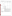| <b>Parameter</b>                       |                  | <b>Sample Information</b>                                                                                                                          | <b>Botulinum Toxin</b><br>Concentration (mg/L)                                                                                                                                                                                                                                                                                             | <b>Positive Results Out of</b><br><b>Total Replicates</b> |
|----------------------------------------|------------------|----------------------------------------------------------------------------------------------------------------------------------------------------|--------------------------------------------------------------------------------------------------------------------------------------------------------------------------------------------------------------------------------------------------------------------------------------------------------------------------------------------|-----------------------------------------------------------|
|                                        |                  |                                                                                                                                                    | 0.5                                                                                                                                                                                                                                                                                                                                        | 0/3                                                       |
|                                        |                  | Type A                                                                                                                                             | $\overline{2}$                                                                                                                                                                                                                                                                                                                             | 2/3                                                       |
|                                        |                  |                                                                                                                                                    | 5                                                                                                                                                                                                                                                                                                                                          | 2/3                                                       |
|                                        |                  |                                                                                                                                                    | 25                                                                                                                                                                                                                                                                                                                                         | 3/3                                                       |
|                                        | Contaminant-     | Type B                                                                                                                                             | 0.3                                                                                                                                                                                                                                                                                                                                        | 0/3                                                       |
|                                        | only PT samples  |                                                                                                                                                    | 0.5                                                                                                                                                                                                                                                                                                                                        | 0/3                                                       |
|                                        |                  |                                                                                                                                                    | 2.5                                                                                                                                                                                                                                                                                                                                        | 0/3                                                       |
|                                        |                  |                                                                                                                                                    | 5                                                                                                                                                                                                                                                                                                                                          | 0/3                                                       |
| Qualitative<br>contaminant             |                  |                                                                                                                                                    | 200                                                                                                                                                                                                                                                                                                                                        | 0/3                                                       |
| positive results                       |                  |                                                                                                                                                    | 1,000                                                                                                                                                                                                                                                                                                                                      | 0/3                                                       |
|                                        | Interferent      | 230 mg/L Ca<br>90 mg/L Mg                                                                                                                          | 5 <sup>(a)</sup>                                                                                                                                                                                                                                                                                                                           | 3/3                                                       |
|                                        | PT samples       | 2.5 mg/L humic acid<br>2.5 mg/L fulvic acid                                                                                                        | $5^{(a)}$                                                                                                                                                                                                                                                                                                                                  | 2/3                                                       |
|                                        | DW samples       | Concentrated CA                                                                                                                                    | 5 <sup>(a)</sup>                                                                                                                                                                                                                                                                                                                           | 3/3                                                       |
|                                        |                  | Concentrated NY                                                                                                                                    | $5^{(a)}$                                                                                                                                                                                                                                                                                                                                  | 3/3                                                       |
|                                        |                  | Unconcentrated DW                                                                                                                                  | $5^{(b)}$                                                                                                                                                                                                                                                                                                                                  | 0/24                                                      |
|                                        | Cross-reactivity | $5$ mg/L<br>Lipopolysaccharide                                                                                                                     | unspiked                                                                                                                                                                                                                                                                                                                                   | 0/3                                                       |
| False positives<br>reactivity samples. |                  | No false positives resulted from the analysis of the interferent, DW, or cross-                                                                    |                                                                                                                                                                                                                                                                                                                                            |                                                           |
| False negatives                        |                  | $1,000$ mg/L.                                                                                                                                      | One false negative replicate resulted from the analysis of the 2.5 mg/L humic and<br>fulvic acid interferent samples spiked with a detectable level of Type A botulinum<br>toxin; in addition, the RAMP® test cartridges were not able to detect Type B<br>botulinum toxin spiked into DW at 5 mg/L or in DI water at concentrations up to |                                                           |
| Consistency                            |                  | 95% of the results were obtained in replicate sets in which all the individual<br>replicates had the same result, whether positive or negative.    |                                                                                                                                                                                                                                                                                                                                            |                                                           |
| Lowest detectable concentration        |                  | 2 mg/L (Type A), Type B was not detectable up to concentrations of 1,000 mg/L.<br>(vendor-stated LOD for botulinum toxin [non-specific]: 0.5 mg/L) |                                                                                                                                                                                                                                                                                                                                            |                                                           |

 $^{(a)}$  Type A botulinum toxin.

 $(b)$  Type B botulinum toxin.